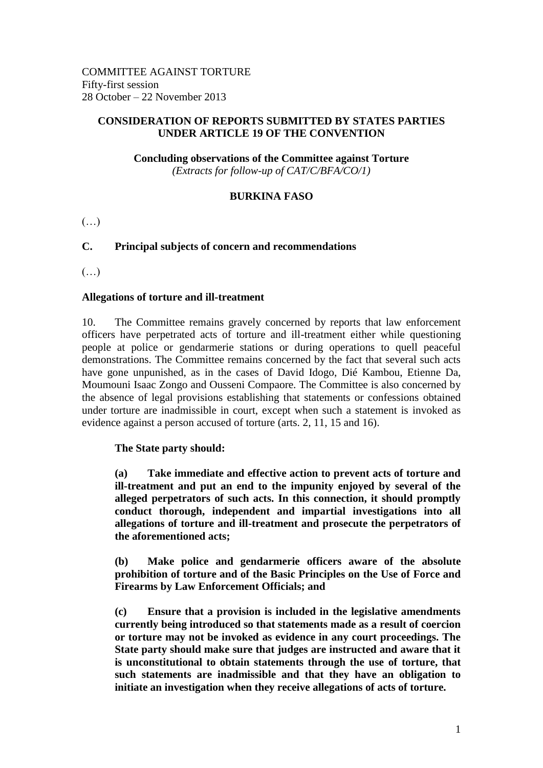### **CONSIDERATION OF REPORTS SUBMITTED BY STATES PARTIES UNDER ARTICLE 19 OF THE CONVENTION**

**Concluding observations of the Committee against Torture** *(Extracts for follow-up of CAT/C/BFA/CO/1)*

# **BURKINA FASO**

 $(\ldots)$ 

# **C. Principal subjects of concern and recommendations**

(…)

### **Allegations of torture and ill-treatment**

10. The Committee remains gravely concerned by reports that law enforcement officers have perpetrated acts of torture and ill-treatment either while questioning people at police or gendarmerie stations or during operations to quell peaceful demonstrations. The Committee remains concerned by the fact that several such acts have gone unpunished, as in the cases of David Idogo, Dié Kambou, Etienne Da, Moumouni Isaac Zongo and Ousseni Compaore. The Committee is also concerned by the absence of legal provisions establishing that statements or confessions obtained under torture are inadmissible in court, except when such a statement is invoked as evidence against a person accused of torture (arts. 2, 11, 15 and 16).

#### **The State party should:**

**(a) Take immediate and effective action to prevent acts of torture and ill-treatment and put an end to the impunity enjoyed by several of the alleged perpetrators of such acts. In this connection, it should promptly conduct thorough, independent and impartial investigations into all allegations of torture and ill-treatment and prosecute the perpetrators of the aforementioned acts;**

**(b) Make police and gendarmerie officers aware of the absolute prohibition of torture and of the Basic Principles on the Use of Force and Firearms by Law Enforcement Officials; and**

**(c) Ensure that a provision is included in the legislative amendments currently being introduced so that statements made as a result of coercion or torture may not be invoked as evidence in any court proceedings. The State party should make sure that judges are instructed and aware that it is unconstitutional to obtain statements through the use of torture, that such statements are inadmissible and that they have an obligation to initiate an investigation when they receive allegations of acts of torture.**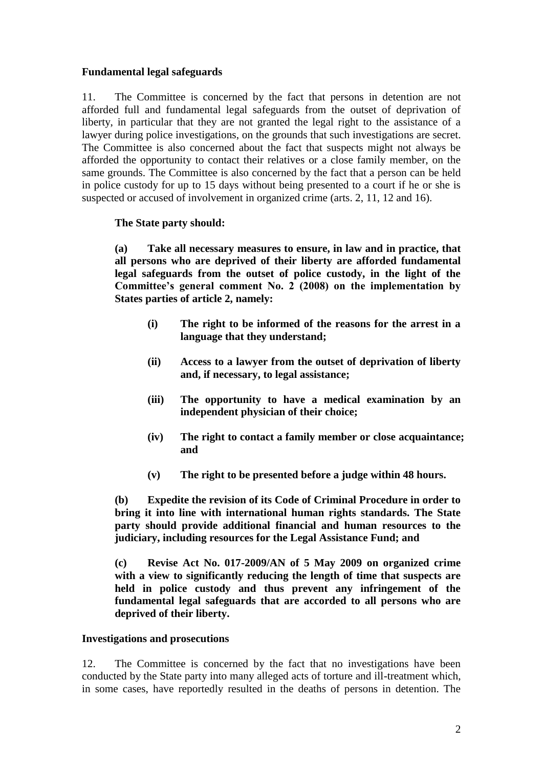# **Fundamental legal safeguards**

11. The Committee is concerned by the fact that persons in detention are not afforded full and fundamental legal safeguards from the outset of deprivation of liberty, in particular that they are not granted the legal right to the assistance of a lawyer during police investigations, on the grounds that such investigations are secret. The Committee is also concerned about the fact that suspects might not always be afforded the opportunity to contact their relatives or a close family member, on the same grounds. The Committee is also concerned by the fact that a person can be held in police custody for up to 15 days without being presented to a court if he or she is suspected or accused of involvement in organized crime (arts. 2, 11, 12 and 16).

### **The State party should:**

**(a) Take all necessary measures to ensure, in law and in practice, that all persons who are deprived of their liberty are afforded fundamental legal safeguards from the outset of police custody, in the light of the Committee's general comment No. 2 (2008) on the implementation by States parties of article 2, namely:**

- **(i) The right to be informed of the reasons for the arrest in a language that they understand;**
- **(ii) Access to a lawyer from the outset of deprivation of liberty and, if necessary, to legal assistance;**
- **(iii) The opportunity to have a medical examination by an independent physician of their choice;**
- **(iv) The right to contact a family member or close acquaintance; and**
- **(v) The right to be presented before a judge within 48 hours.**

**(b) Expedite the revision of its Code of Criminal Procedure in order to bring it into line with international human rights standards. The State party should provide additional financial and human resources to the judiciary, including resources for the Legal Assistance Fund; and**

**(c) Revise Act No. 017-2009/AN of 5 May 2009 on organized crime with a view to significantly reducing the length of time that suspects are held in police custody and thus prevent any infringement of the fundamental legal safeguards that are accorded to all persons who are deprived of their liberty.**

#### **Investigations and prosecutions**

12. The Committee is concerned by the fact that no investigations have been conducted by the State party into many alleged acts of torture and ill-treatment which, in some cases, have reportedly resulted in the deaths of persons in detention. The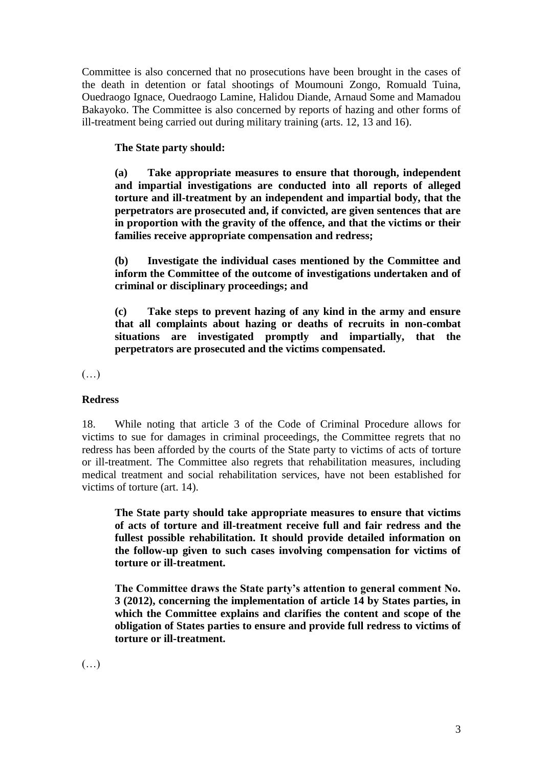Committee is also concerned that no prosecutions have been brought in the cases of the death in detention or fatal shootings of Moumouni Zongo, Romuald Tuina, Ouedraogo Ignace, Ouedraogo Lamine, Halidou Diande, Arnaud Some and Mamadou Bakayoko. The Committee is also concerned by reports of hazing and other forms of ill-treatment being carried out during military training (arts. 12, 13 and 16).

# **The State party should:**

**(a) Take appropriate measures to ensure that thorough, independent and impartial investigations are conducted into all reports of alleged torture and ill-treatment by an independent and impartial body, that the perpetrators are prosecuted and, if convicted, are given sentences that are in proportion with the gravity of the offence, and that the victims or their families receive appropriate compensation and redress;**

**(b) Investigate the individual cases mentioned by the Committee and inform the Committee of the outcome of investigations undertaken and of criminal or disciplinary proceedings; and**

**(c) Take steps to prevent hazing of any kind in the army and ensure that all complaints about hazing or deaths of recruits in non-combat situations are investigated promptly and impartially, that the perpetrators are prosecuted and the victims compensated.**

(…)

# **Redress**

18. While noting that article 3 of the Code of Criminal Procedure allows for victims to sue for damages in criminal proceedings, the Committee regrets that no redress has been afforded by the courts of the State party to victims of acts of torture or ill-treatment. The Committee also regrets that rehabilitation measures, including medical treatment and social rehabilitation services, have not been established for victims of torture (art. 14).

**The State party should take appropriate measures to ensure that victims of acts of torture and ill-treatment receive full and fair redress and the fullest possible rehabilitation. It should provide detailed information on the follow-up given to such cases involving compensation for victims of torture or ill-treatment.**

**The Committee draws the State party's attention to general comment No. 3 (2012), concerning the implementation of article 14 by States parties, in which the Committee explains and clarifies the content and scope of the obligation of States parties to ensure and provide full redress to victims of torture or ill-treatment.** 

 $(\ldots)$